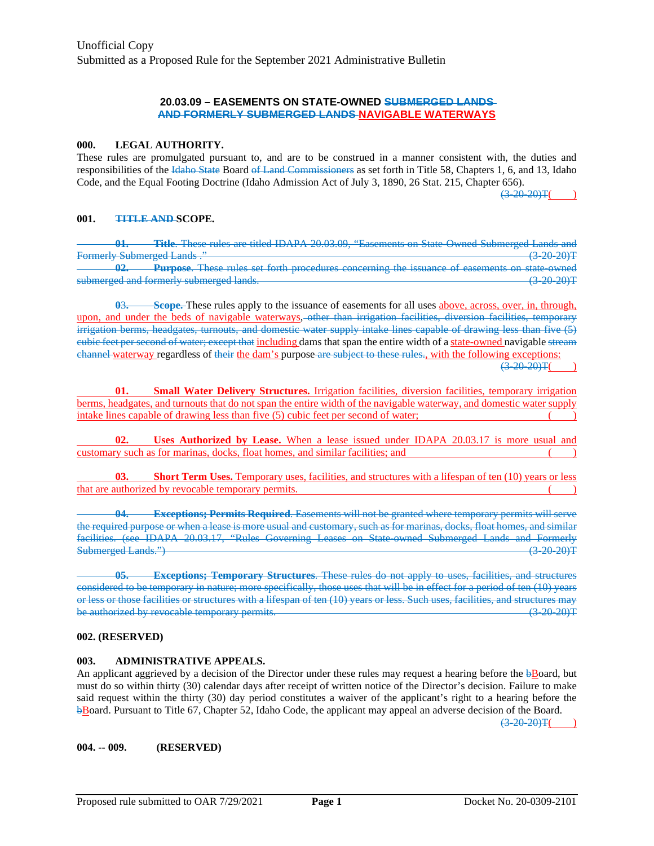### **20.03.09 – EASEMENTS ON STATE-OWNED SUBMERGED LANDS AND FORMERLY SUBMERGED LANDS NAVIGABLE WATERWAYS**

#### **000. LEGAL AUTHORITY.**

These rules are promulgated pursuant to, and are to be construed in a manner consistent with, the duties and responsibilities of the Idaho State Board of Land Commissioners as set forth in Title 58, Chapters 1, 6, and 13, Idaho Code, and the Equal Footing Doctrine (Idaho Admission Act of July 3, 1890, 26 Stat. 215, Chapter 656).

 $(3-20-20)$ T(

### **001. TITLE AND SCOPE.**

**01. Title**. These rules are titled IDAPA 20.03.09, "Easements on State-Owned Submerged Lands and Formerly Submerged Lands ." (3-20-20) T **02. Purpose**. These rules set forth procedures concerning the issuance of easements on state-owned submerged and formerly submerged lands. (3-20-20)T

**0**3**. Scope.** These rules apply to the issuance of easements for all uses above, across, over, in, through, upon, and under the beds of navigable waterways, other than irrigation facilities, diversion facilities, temporary irrigation berms, headgates, turnouts, and domestic water supply intake lines capable of drawing less than five (5) cubic feet per second of water; except that including dams that span the entire width of a state-owned navigable stream channel waterway regardless of their the dam's purpose are subject to these rules., with the following exceptions:  $(3-20-20)$ T

**01. Small Water Delivery Structures.** Irrigation facilities, diversion facilities, temporary irrigation berms, headgates, and turnouts that do not span the entire width of the navigable waterway, and domestic water supply intake lines capable of drawing less than five (5) cubic feet per second of water; ( )

**02. Uses Authorized by Lease.** When a lease issued under IDAPA 20.03.17 is more usual and customary such as for marinas, docks, float homes, and similar facilities; and ( )

**03. Short Term Uses.** Temporary uses, facilities, and structures with a lifespan of ten (10) years or less that are authorized by revocable temporary permits. ( )

**04. Exceptions; Permits Required**. Easements will not be granted where temporary permits will serve the required purpose or when a lease is more usual and customary, such as for marinas, docks, float homes, and similar facilities. (see IDAPA 20.03.17, "Rules Governing Leases on State-owned Submerged Lands and Formerly Submerged Lands.") (3-20-20)T

**05. Exceptions; Temporary Structures**. These rules do not apply to uses, facilities, and structures considered to be temporary in nature; more specifically, those uses that will be in effect for a period of ten (10) years or less or those facilities or structures with a lifespan of ten (10) years or less. Such uses, facilities, and structures may be authorized by revocable temporary permits.

### **002. (RESERVED)**

### **003. ADMINISTRATIVE APPEALS.**

An applicant aggrieved by a decision of the Director under these rules may request a hearing before the  $\frac{1}{2}$ Board, but must do so within thirty (30) calendar days after receipt of written notice of the Director's decision. Failure to make said request within the thirty (30) day period constitutes a waiver of the applicant's right to a hearing before the bBoard. Pursuant to Title 67, Chapter 52, Idaho Code, the applicant may appeal an adverse decision of the Board.

 $(3-20-20)T($ 

**004. -- 009. (RESERVED)**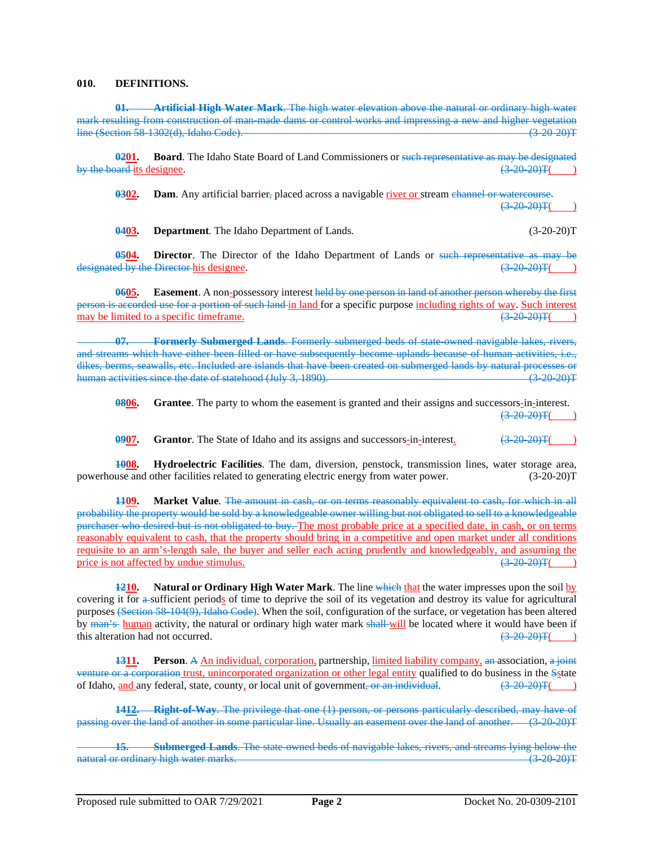### **010. DEFINITIONS.**

**01. Artificial High Water Mark**. The high water elevation above the natural or ordinary high water mark resulting from construction of man-made dams or control works and impressing a new and higher vegetation line (Section 58-1302(d), Idaho Code). (3-20-20)T

**0201. Board**. The Idaho State Board of Land Commissioners or such representative as may be designated by the board its designee.  $(3-20-20)$ T(

**0302. Dam**. Any artificial barrier, placed across a navigable river or stream channel or watercourse.  $(3-20-20)$ T

**0403. Department**. The Idaho Department of Lands. (3-20-20)T

**0504. Director**. The Director of the Idaho Department of Lands or such representative as may be designated by the Director his designee.  $(3-20-20)$ T(

**0605. Easement**. A non-possessory interest held by one person in land of another person whereby the first person is accorded use for a portion of such land in land for a specific purpose including rights of way. Such interest may be limited to a specific time frame. may be limited to a specific timeframe.  $\left(3-20-20\right)\text{T}$  (3)

**07. Formerly Submerged Lands**. Formerly submerged beds of state-owned navigable lakes, rivers, and streams which have either been filled or have subsequently become uplands because of human activities, i.e., dikes, berms, seawalls, etc. Included are islands that have been created on submerged lands by natural processes or<br>human activities since the date of statehood (July 3, 1890). human activities since the date of statehood  $(July 3, 1890)$ .

**0806. Grantee**. The party to whom the easement is granted and their assigns and successors-in-interest.  $(3-20-20)$ T(

**0907. Grantor**. The State of Idaho and its assigns and successors-in-interest.  $\left(3-20-20\right)T$ 

**1008. Hydroelectric Facilities**. The dam, diversion, penstock, transmission lines, water storage area, powerhouse and other facilities related to generating electric energy from water power. (3-20-20)T

**1109. Market Value**. The amount in cash, or on terms reasonably equivalent to cash, for which in all probability the property would be sold by a knowledgeable owner willing but not obligated to sell to a knowledgeable purchaser who desired but is not obligated to buy. The most probable price at a specified date, in cash, or on terms reasonably equivalent to cash, that the property should bring in a competitive and open market under all conditions requisite to an arm's-length sale, the buyer and seller each acting prudently and knowledgeably, and assuming the price is not affected by undue stimulus.  $\left(3, 20, 20\right)$ price is not affected by undue stimulus.

**1210. Natural or Ordinary High Water Mark**. The line which that the water impresses upon the soil by covering it for a sufficient periods of time to deprive the soil of its vegetation and destroy its value for agricultural purposes (Section 58-104(9), Idaho Code). When the soil, configuration of the surface, or vegetation has been altered by man's human activity, the natural or ordinary high water mark shall will be located where it would have been if this alteration had not occurred. this alteration had not occurred.

**1311. Person**. A An individual, corporation, partnership, limited liability company, an association, a joint venture or a corporation trust, unincorporated organization or other legal entity qualified to do business in the Sstate of Idaho, and any federal, state, county, or local unit of government, or an individual.  $\left(3-20-20\right)\text{T}$ 

**1412. Right-of-Way**. The privilege that one (1) person, or persons particularly described, may have of passing over the land of another in some particular line. Usually an easement over the land of another. (3-20-20)T

**15. Submerged Lands**. The state-owned beds of navigable lakes, rivers, and streams lying below the natural or ordinary high water marks. (3-20-20) and the state of the state of the state of the state of the state of the state of the state of the state of the state of the state of the state of the state of the state of t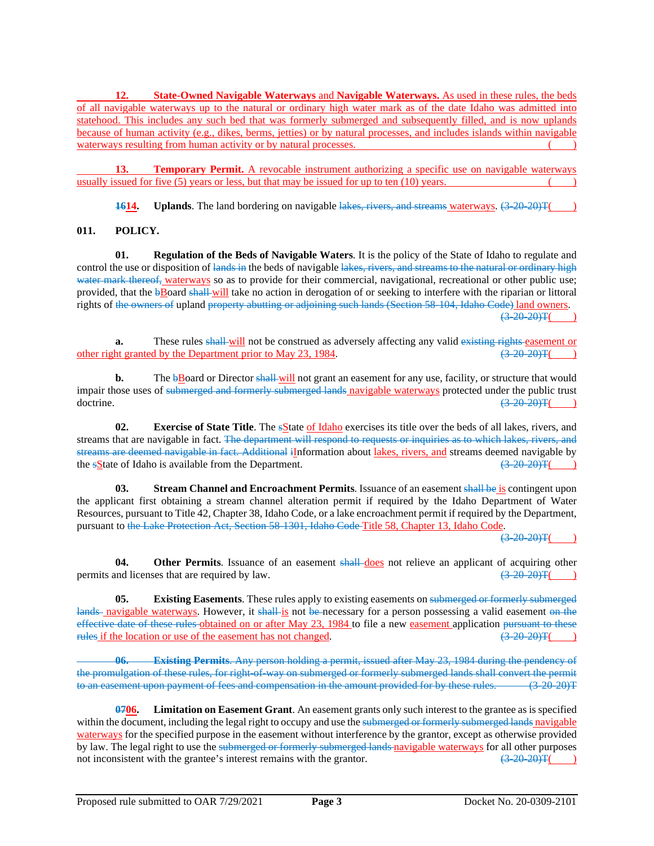**12. State-Owned Navigable Waterways** and **Navigable Waterways.** As used in these rules, the beds of all navigable waterways up to the natural or ordinary high water mark as of the date Idaho was admitted into statehood. This includes any such bed that was formerly submerged and subsequently filled, and is now uplands because of human activity (e.g., dikes, berms, jetties) or by natural processes, and includes islands within navigable waterways resulting from human activity or by natural processes.

**13. Temporary Permit.** A revocable instrument authorizing a specific use on navigable waterways usually issued for five  $(5)$  years or less, but that may be issued for up to ten  $(10)$  years.

**1614. Uplands**. The land bordering on navigable lakes, rivers, and streams waterways.  $(3-20-20)$ T(

# **011. POLICY.**

**01. Regulation of the Beds of Navigable Waters**. It is the policy of the State of Idaho to regulate and control the use or disposition of lands in the beds of navigable lakes, rivers, and streams to the natural or ordinary high water mark thereof, waterways so as to provide for their commercial, navigational, recreational or other public use; provided, that the **bBoard shall-will** take no action in derogation of or seeking to interfere with the riparian or littoral rights of the owners of upland property abutting or adjoining such lands (Section 58-104, Idaho Code) land owners.  $(3-20-20)$ T(

**a.** These rules shall will not be construed as adversely affecting any valid existing rights easement or the Department prior to May 23, 1984.  $(3-20-20)$ other right granted by the Department prior to May 23, 1984.

**b.** The **bBoard** or Director shall will not grant an easement for any use, facility, or structure that would impair those uses of submerged and formerly submerged lands navigable waterways protected under the public trust doctrine.  $\sqrt{(3-20-20)}$  T( $\sqrt{(3-20-20)}$ )T( $\sqrt{(3-20-20)}$ )T( $\sqrt{(3-20-20)}$ 

**02. Exercise of State Title**. The sState of Idaho exercises its title over the beds of all lakes, rivers, and streams that are navigable in fact. The department will respond to requests or inquiries as to which lakes, rivers, and streams are deemed navigable in fact. Additional iInformation about lakes, rivers, and streams deemed navigable by the sState of Idaho is available from the Department.  $\frac{(3-20-20)T(1)}{T}$ the  $s$ State of Idaho is available from the Department.

**03. Stream Channel and Encroachment Permits**. Issuance of an easement shall be is contingent upon the applicant first obtaining a stream channel alteration permit if required by the Idaho Department of Water Resources, pursuant to Title 42, Chapter 38, Idaho Code, or a lake encroachment permit if required by the Department, pursuant to the Lake Protection Act, Section 58-1301, Idaho Code Title 58, Chapter 13, Idaho Code.

 $(3-20-20)$ T(

**04. Other Permits**. Issuance of an easement shall-does not relieve an applicant of acquiring other permits and licenses that are required by law.  $(3-20-20)$ T(

**05. Existing Easements**. These rules apply to existing easements on submerged or formerly submerged lands navigable waterways. However, it shall is not be necessary for a person possessing a valid easement on the effective date of these rules obtained on or after May 23, 1984 to file a new <u>easement</u> application <del>pursuant to these rules</del> if the location or use of the easement has not changed.  $(3.20, 20)$   $(3.20, 20)$ rules if the location or use of the easement has not changed.

**06. Existing Permits**. Any person holding a permit, issued after May 23, 1984 during the pendency of the promulgation of these rules, for right-of-way on submerged or formerly submerged lands shall convert the permit to an easement upon payment of fees and compensation in the amount provided for by these rules. (3-20-20)T

**0706. Limitation on Easement Grant**. An easement grants only such interest to the grantee as is specified within the document, including the legal right to occupy and use the submerged or formerly submerged lands navigable waterways for the specified purpose in the easement without interference by the grantor, except as otherwise provided by law. The legal right to use the submerged or formerly submerged lands navigable waterways for all other purposes not inconsistent with the grantee's interest remains with the grantor.  $\left(3\frac{20}{20}\right)T$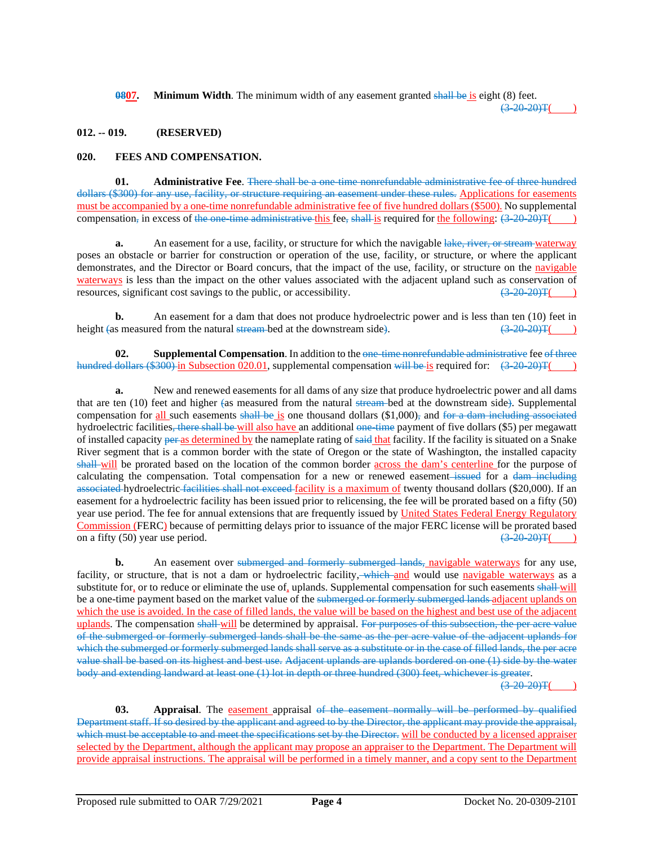**0807. Minimum Width**. The minimum width of any easement granted shall be is eight (8) feet.

 $(3-20-20)T($ 

## **012. -- 019. (RESERVED)**

## **020. FEES AND COMPENSATION.**

**01. Administrative Fee**. There shall be a one-time nonrefundable administrative fee of three hundred dollars (\$300) for any use, facility, or structure requiring an easement under these rules. Applications for easements must be accompanied by a one-time nonrefundable administrative fee of five hundred dollars (\$500). No supplemental compensation, in excess of the one-time administrative this fee, shall is required for the following:  $(3-20-20)T($ 

**a.** An easement for a use, facility, or structure for which the navigable lake, river, or stream waterway poses an obstacle or barrier for construction or operation of the use, facility, or structure, or where the applicant demonstrates, and the Director or Board concurs, that the impact of the use, facility, or structure on the navigable waterways is less than the impact on the other values associated with the adjacent upland such as conservation of resources, significant cost savings to the public, or accessibility.  $\left(3\frac{20}{20}\right)$   $\left(3\frac{20}{20}\right)$ 

**b.** An easement for a dam that does not produce hydroelectric power and is less than ten (10) feet in height (as measured from the natural stream-bed at the downstream side).  $(3-20-20)T($ 

**02. Supplemental Compensation**. In addition to the one-time nonrefundable administrative fee of three hundred dollars (\$300) in Subsection 020.01, supplemental compensation will be is required for:  $(3-20-20)T($  )

**a.** New and renewed easements for all dams of any size that produce hydroelectric power and all dams that are ten (10) feet and higher (as measured from the natural stream bed at the downstream side). Supplemental compensation for all such easements shall be is one thousand dollars  $(\$1,000)$ , and for a dam including associated hydroelectric facilities<del>, there shall be w</del>ill also have an additional <del>one-time</del> payment of five dollars (\$5) per megawatt of installed capacity per as determined by the nameplate rating of said that facility. If the facility is situated on a Snake River segment that is a common border with the state of Oregon or the state of Washington, the installed capacity shall will be prorated based on the location of the common border across the dam's centerline for the purpose of calculating the compensation. Total compensation for a new or renewed easement–issued for a dam including associated hydroelectric facilities shall not exceed facility is a maximum of twenty thousand dollars (\$20,000). If an easement for a hydroelectric facility has been issued prior to relicensing, the fee will be prorated based on a fifty (50) year use period. The fee for annual extensions that are frequently issued by United States Federal Energy Regulatory Commission (FERC) because of permitting delays prior to issuance of the major FERC license will be prorated based on a fifty (50) year use period.  $\left(3-20-20\right)T$ 

**b.** An easement over submerged and formerly submerged lands, navigable waterways for any use, facility, or structure, that is not a dam or hydroelectric facility, which and would use navigable waterways as a substitute for, or to reduce or eliminate the use of, uplands. Supplemental compensation for such easements shall-will be a one-time payment based on the market value of the submerged or formerly submerged lands adjacent uplands on which the use is avoided. In the case of filled lands, the value will be based on the highest and best use of the adjacent uplands. The compensation shall will be determined by appraisal. For purposes of this subsection, the per acre value of the submerged or formerly submerged lands shall be the same as the per acre value of the adjacent uplands for which the submerged or formerly submerged lands shall serve as a substitute or in the case of filled lands, the per acre value shall be based on its highest and best use. Adjacent uplands are uplands bordered on one (1) side by the water body and extending landward at least one (1) lot in depth or three hundred (300) feet, whichever is greater.

 $(3-20-20)$ T(

**03. Appraisal**. The easement appraisal of the easement normally will be performed by qualified Department staff. If so desired by the applicant and agreed to by the Director, the applicant may provide the appraisal, which must be acceptable to and meet the specifications set by the Director. will be conducted by a licensed appraiser selected by the Department, although the applicant may propose an appraiser to the Department. The Department will provide appraisal instructions. The appraisal will be performed in a timely manner, and a copy sent to the Department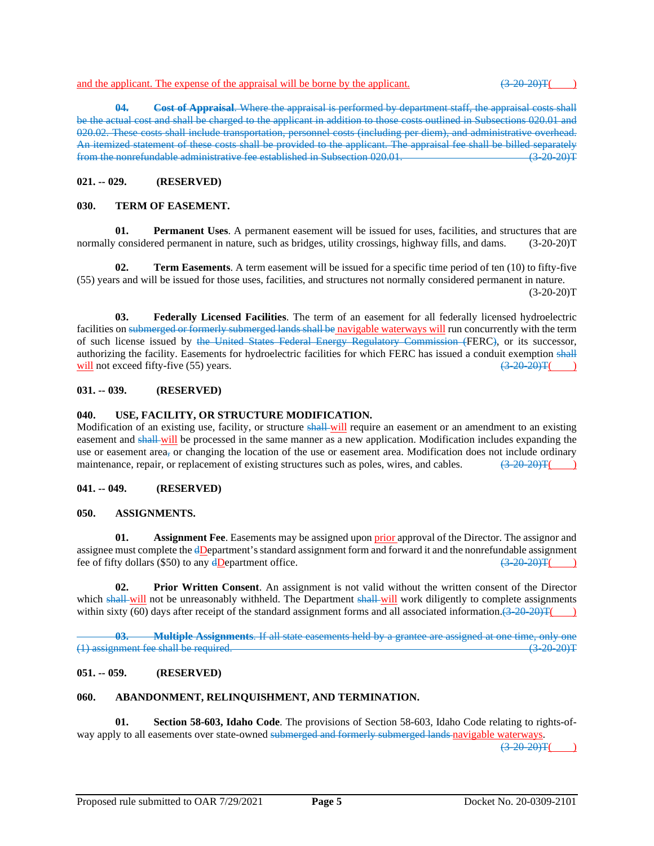**04. Cost of Appraisal**. Where the appraisal is performed by department staff, the appraisal costs shall be the actual cost and shall be charged to the applicant in addition to those costs outlined in Subsections 020.01 and 020.02. These costs shall include transportation, personnel costs (including per diem), and administrative overhead. An itemized statement of these costs shall be provided to the applicant. The appraisal fee shall be billed separately<br>from the nonrefundable administrative fee established in Subsection 020.01 from the nonrefundable administrative fee established in Subsection  $020.01$ .

## **021. -- 029. (RESERVED)**

## **030. TERM OF EASEMENT.**

**01. Permanent Uses**. A permanent easement will be issued for uses, facilities, and structures that are normally considered permanent in nature, such as bridges, utility crossings, highway fills, and dams. (3-20-20)T

**02. Term Easements**. A term easement will be issued for a specific time period of ten (10) to fifty-five (55) years and will be issued for those uses, facilities, and structures not normally considered permanent in nature.  $(3-20-20)T$ 

**03. Federally Licensed Facilities**. The term of an easement for all federally licensed hydroelectric facilities on submerged or formerly submerged lands shall be navigable waterways will run concurrently with the term of such license issued by the United States Federal Energy Regulatory Commission (FERC), or its successor, authorizing the facility. Easements for hydroelectric facilities for which FERC has issued a conduit exemption shall will not exceed fifty-five (55) years.  $\left(3-20-20\right)T($  )

### **031. -- 039. (RESERVED)**

### **040. USE, FACILITY, OR STRUCTURE MODIFICATION.**

Modification of an existing use, facility, or structure shall-will require an easement or an amendment to an existing easement and shall-will be processed in the same manner as a new application. Modification includes expanding the use or easement area, or changing the location of the use or easement area. Modification does not include ordinary maintenance, repair, or replacement of existing structures such as poles, wires, and cables.  $\left(\frac{320-20}{$ maintenance, repair, or replacement of existing structures such as poles, wires, and cables.

#### **041. -- 049. (RESERVED)**

#### **050. ASSIGNMENTS.**

**01. Assignment Fee**. Easements may be assigned upon prior approval of the Director. The assignor and assignee must complete the  $\frac{dD}{dp}$  and  $\frac{dD}{dp}$  assignment form and forward it and the nonrefundable assignment fee of fifty dollars (\$50) to any dDepartment office fee of fifty dollars (\$50) to any  $\frac{dD}{dx}$  epartment office.

**02. Prior Written Consent**. An assignment is not valid without the written consent of the Director which shall-will not be unreasonably withheld. The Department shall-will work diligently to complete assignments within sixty (60) days after receipt of the standard assignment forms and all associated information. $(3-20-20)T($ 

**03. Multiple Assignments**. If all state easements held by a grantee are assigned at one time, only one (1) assignment fee shall be required. (3-20-20)T

## **051. -- 059. (RESERVED)**

#### **060. ABANDONMENT, RELINQUISHMENT, AND TERMINATION.**

**01. Section 58-603, Idaho Code**. The provisions of Section 58-603, Idaho Code relating to rights-ofway apply to all easements over state-owned submerged and formerly submerged lands navigable waterways.

 $(3, 20, 20)$ T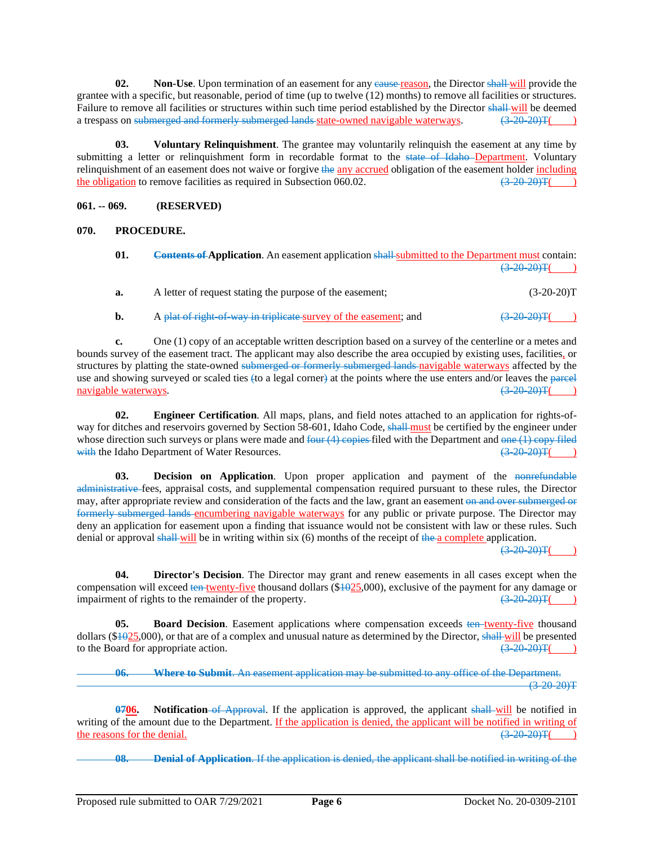**02. Non-Use**. Upon termination of an easement for any eause reason, the Director shall will provide the grantee with a specific, but reasonable, period of time (up to twelve (12) months) to remove all facilities or structures. Failure to remove all facilities or structures within such time period established by the Director shall will be deemed a trespass on submerged and formerly submerged lands state-owned navigable waterways.  $(3-20-20)T($ a trespass on submerged and formerly submerged lands state-owned navigable waterways.  $(3\overline{20\overline{20\overline{20}}T($ 

**03. Voluntary Relinquishment**. The grantee may voluntarily relinquish the easement at any time by submitting a letter or relinquishment form in recordable format to the state of Idaho Department. Voluntary relinquishment of an easement does not waive or forgive the any accrued obligation of the easement holder including the obligation to remove facilities as required in Subsection 060.02.  $\left(3\frac{20}{20}\right)\left(3\frac{20}{20}\right)$ 

## **061. -- 069. (RESERVED)**

## **070. PROCEDURE.**

| 01. | <b>Contents of Application.</b> An easement application shall-submitted to the Department must contain: |                 |
|-----|---------------------------------------------------------------------------------------------------------|-----------------|
|     |                                                                                                         | $(3-20-20)$ T() |
| а.  | A letter of request stating the purpose of the easement;                                                | $(3-20-20)T$    |
| b.  | A plat of right of way in triplicate survey of the easement; and                                        | $(3-20-20)$ T(  |

**c.** One (1) copy of an acceptable written description based on a survey of the centerline or a metes and bounds survey of the easement tract. The applicant may also describe the area occupied by existing uses, facilities, or structures by platting the state-owned submerged or formerly submerged lands navigable waterways affected by the use and showing surveyed or scaled ties (to a legal corner) at the points where the use enters and/or leaves the parcel navigable waterways.  $\left(3-20-20\right)\text{F(}$ 

**02. Engineer Certification**. All maps, plans, and field notes attached to an application for rights-ofway for ditches and reservoirs governed by Section 58-601, Idaho Code, shall must be certified by the engineer under whose direction such surveys or plans were made and <del>four (4) copies f</del>iled with the Department and <del>one (1) copy filed</del> with the Idaho Department of Water Resources. with the Idaho Department of Water Resources.

**03. Decision on Application**. Upon proper application and payment of the nonrefundable administrative fees, appraisal costs, and supplemental compensation required pursuant to these rules, the Director may, after appropriate review and consideration of the facts and the law, grant an easement on and over submerged or formerly submerged lands encumbering navigable waterways for any public or private purpose. The Director may deny an application for easement upon a finding that issuance would not be consistent with law or these rules. Such denial or approval shall will be in writing within six (6) months of the receipt of the a complete application.

 $(3-20-20)$ T(

**04. Director's Decision**. The Director may grant and renew easements in all cases except when the compensation will exceed ten twenty-five thousand dollars (\$1025,000), exclusive of the payment for any damage or impairment of rights to the remainder of the property. impairment of rights to the remainder of the property.

**05. Board Decision**. Easement applications where compensation exceeds ten twenty-five thousand dollars ( $$1025,000$ ), or that are of a complex and unusual nature as determined by the Director, shall will be presented to the Board for appropriate action.  $\left(3-20-20\right)T$ 

**06. Where to Submit**. An easement application may be submitted to any office of the Department.  $(3-20-20)T$ 

**0706. Notification** of Approval. If the application is approved, the applicant shall will be notified in writing of the amount due to the Department. <u>If the application is denied, the applicant will be notified in writing of the reasons for the denial.  $\left(3\right.20\right.20\left.7\right)$ </u> the reasons for the denial.

**08. Denial of Application**. If the application is denied, the applicant shall be notified in writing of the